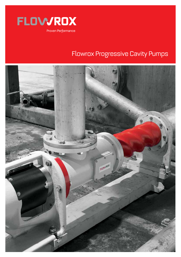

# **Flowrox Progressive Cavity Pumps**

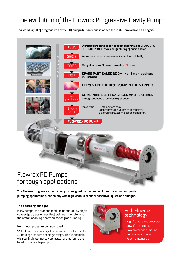# The evolution of the Flowrox Progressive Cavity Pump

**The world is full of progressive cavity (PC) pumps but only one is above the rest. Here is how it all began.**



# Flowrox PC Pumps for tough applications

**The Flowrox progressive cavity pump is designed for demanding industrial slurry and paste pumping applications, especially with high viscous or shear sensitive liquids and sludges.**

### **The operating principle**

In PC pumps, the pumped medium continuously shifts spaces (progressing cavities) between the rotor and the stator, enabling nearly pulsation free pumping.

### **How much pressure can you take?**

With Flowrox technology it is possible to deliver up to 10 bars of pressure per single stage. This is possible with our high technology spiral stator that forms the heart of the whole pump.



## With Flowrox technology:

- High flowrate and pressure
- Low life cycle costs
- Low power consumption
- Long service interval
- Fast maintenance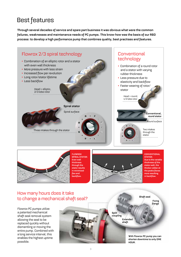# Best features

**Through several decades of service and spare part business it was obvious what were the common failures, weaknesses and maintenance needs of PC pumps. This know-how was the basis of our R&D process: to develop a high performance pump that combines quality, best practises and features.**





**FLOWROX SPIRAL STATOR: Even wall thickness through the stator results in minimized flex and backflow.**



**CONVENTIONAL STATOR: Due to the variable thickness of the stator wall, the thicker rubber at the peaks flexes more resulting in backflow.**

**Shaft seal**

## How many hours does it take to change a mechanical shaft seal?

Flowrox PC pumps utilize a patented mechanical shaft seal removal system allowing the seal to be replaced quickly without dismantling or moving the entire pump. Combined with a long service interval, this enables the highest uptime possible.

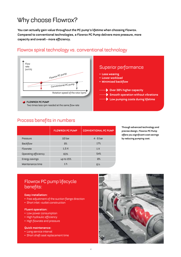# Why choose Flowrox?

**You can actually gain value throughout the PC pump's lifetime when choosing Flowrox. Compared to conventional technologies, a Flowrox PC Pump delivers more pressure, more capacity and overall – more efficiency.**



## Flowrox spiral technology vs. conventional technology

## Process benefits in numbers

|                             | <b>FLOWROX PC PUMP</b> | <b>CONVENTIONAL PC PUMP</b> |
|-----------------------------|------------------------|-----------------------------|
| Pressure                    | 10 bar                 | $4 - 6$ bar                 |
| <b>Backflow</b>             | B%                     | 17%                         |
| Flowrate                    | 1,5X                   | 1X                          |
| <b>Operating efficiency</b> | 63%                    | 54%                         |
| Energy savings              | up to 15%              | $Q\%$                       |
| Maintenance time            | 1 <sub>h</sub>         | 6 <sub>h</sub>              |

**Through advanced technology and precise design, Flowrox PC Pump offers you significant cost savings by reducing pumping cost.**

## Flowrox PC pump lifecycle benefits:

#### **Easy installation:**

- Free adjustment of the suction flange direction
- Short inlet –outlet construction

#### **Fluent operation:**

- Low power consumption
- High hydraulic efficiency
- High flowrate and pressure

#### **Quick maintenance:**

- Long service interval
- Short shaft seal replacement time

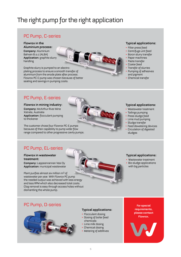# The right pump for the right application

## PC Pump, C-series

**Flowrox in the Aluminium process: Company:** Aluminium Bahrain B.s.c (ALBA) **Application:** graphite slurry handling

Graphite slurry is pumped to an alectroplating process to ensure a smooth transfer of aluminium from the anode plate after process. Flowrox PC-C pump was chosen because of better sealing and savings in pumping costs.

### **Typical applications:**

- Filter press feed
- Centrifuge unit feed
- Boron slurry transfer
- Paper machines
- Paste transfer
- Coater feed
- Transfer of slurries
- Pumping of adhesives and pigment
- Chemical transfer

## PC Pump, E-series

**Flowrox in mining industry: Company:** McArthur River Mine Xstrata, Australia **Application:** flocculant pumping to thickener

The customer chose four Flowrox PC-E pumps because of their capability to pump wider flow range compared to other progressive cavity pumps.

### **Typical applications:**

- Wastewater treatment
- Tailings pumping
- Press sludge feed
- Lime mud pumping
- Sludge transfer
- Feed dewatering devices
- Circulation of digested sludges

## PC Pump, EL-series

**Flowrox in wastewater treatment:**

**Company:** Lappeenrannan Vesi Oy **Application:** municipal wastewater

Plant purifies almost six million m3 of wastewater per year. With Flowrox PC pump the needed output was achieved with less energy and less RPM which also decreased total costs. Clog removal is easy through access holes without dismantling the whole pump.



### **Typical applications:**

• Wastewater treatment • Bio sludge applications with big particles

## PC Pump, D-series



### **Typical applications:**

- Flocculant dosing
- Dosing of boiler feed chemicals
- Lime milk dosing
- Chemical dosing
- Metering of additives

#### **For special requirements, please contact Flowrox.**